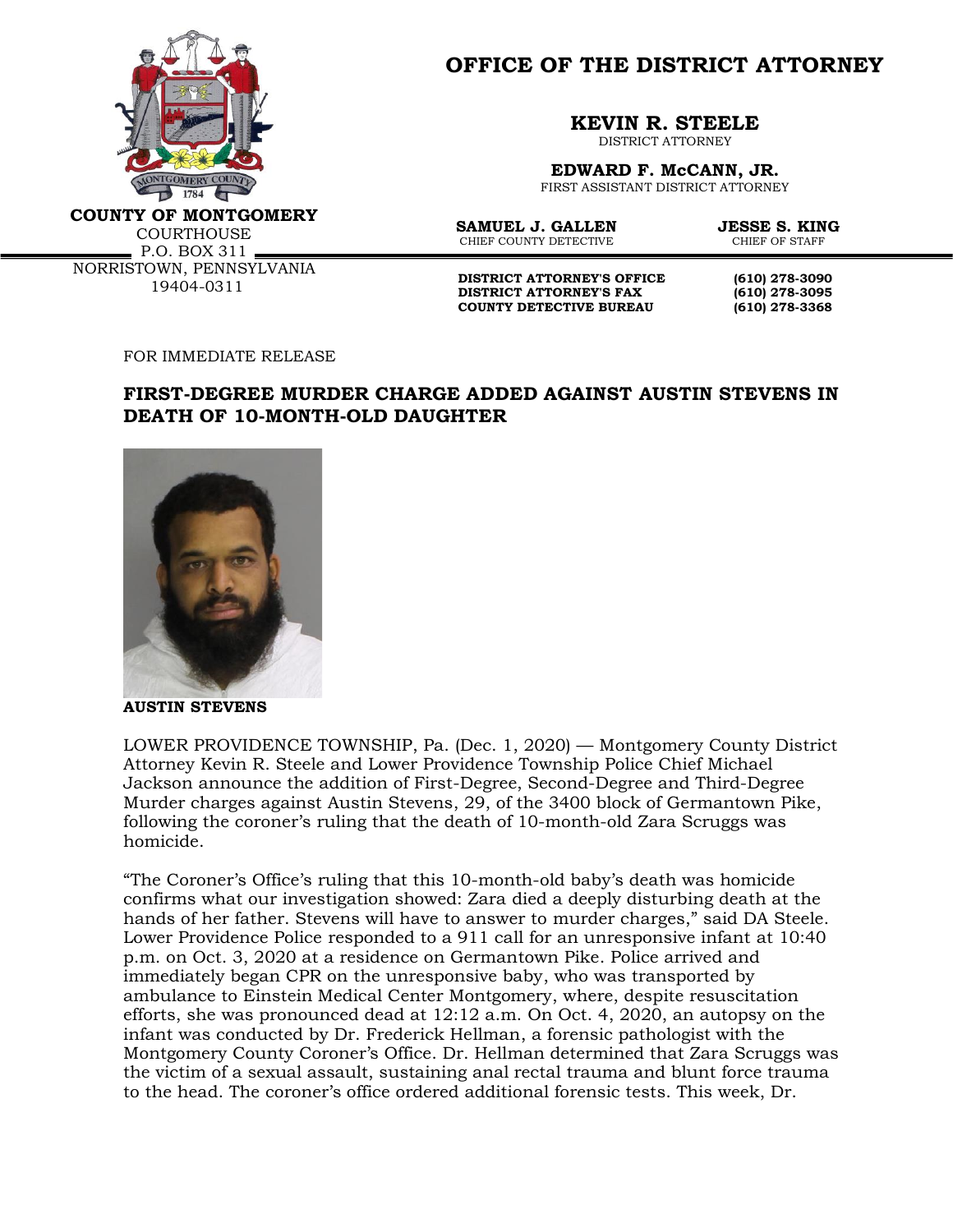

**OFFICE OF THE DISTRICT ATTORNEY**

**KEVIN R. STEELE**

DISTRICT ATTORNEY

**EDWARD F. McCANN, JR.** FIRST ASSISTANT DISTRICT ATTORNEY

**COUNTY OF MONTGOMERY**

**COURTHOUSE** P.O. BOX 311 NORRISTOWN, PENNSYLVANIA 19404-0311

**SAMUEL J. GALLEN JESSE S. KING**<br>CHIER COUNTY DETECTIVE CHIER OF STAFF CHIEF COUNTY DETECTIVE

**DISTRICT ATTORNEY'S OFFICE** (610) 278-3090<br>DISTRICT ATTORNEY'S FAX (610) 278-3095 **DISTRICT ATTORNEY'S FAX COUNTY DETECTIVE BUREAU (610) 278-3368**

FOR IMMEDIATE RELEASE

## **FIRST-DEGREE MURDER CHARGE ADDED AGAINST AUSTIN STEVENS IN DEATH OF 10-MONTH-OLD DAUGHTER**



**AUSTIN STEVENS** 

LOWER PROVIDENCE TOWNSHIP, Pa. (Dec. 1, 2020) — Montgomery County District Attorney Kevin R. Steele and Lower Providence Township Police Chief Michael Jackson announce the addition of First-Degree, Second-Degree and Third-Degree Murder charges against Austin Stevens, 29, of the 3400 block of Germantown Pike, following the coroner's ruling that the death of 10-month-old Zara Scruggs was homicide.

"The Coroner's Office's ruling that this 10-month-old baby's death was homicide confirms what our investigation showed: Zara died a deeply disturbing death at the hands of her father. Stevens will have to answer to murder charges," said DA Steele. Lower Providence Police responded to a 911 call for an unresponsive infant at 10:40 p.m. on Oct. 3, 2020 at a residence on Germantown Pike. Police arrived and immediately began CPR on the unresponsive baby, who was transported by ambulance to Einstein Medical Center Montgomery, where, despite resuscitation efforts, she was pronounced dead at 12:12 a.m. On Oct. 4, 2020, an autopsy on the infant was conducted by Dr. Frederick Hellman, a forensic pathologist with the Montgomery County Coroner's Office. Dr. Hellman determined that Zara Scruggs was the victim of a sexual assault, sustaining anal rectal trauma and blunt force trauma to the head. The coroner's office ordered additional forensic tests. This week, Dr.